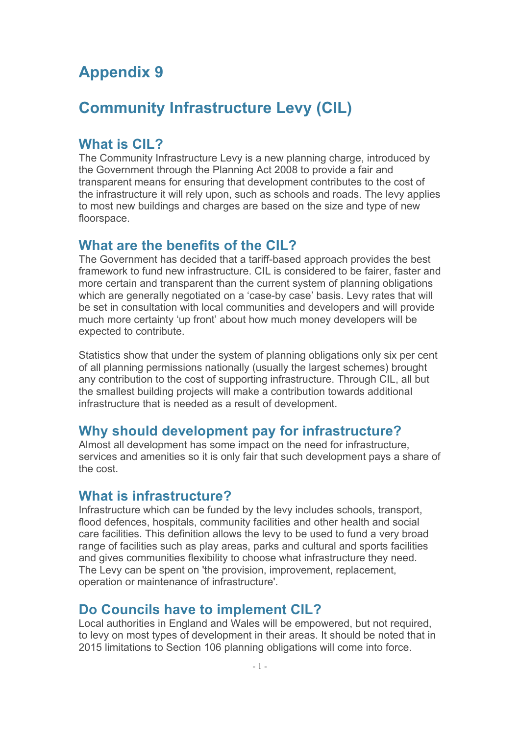# **Appendix 9**

# **Community Infrastructure Levy (CIL)**

### **What is CIL?**

The Community Infrastructure Levy is a new planning charge, introduced by the Government through the Planning Act 2008 to provide a fair and transparent means for ensuring that development contributes to the cost of the infrastructure it will rely upon, such as schools and roads. The levy applies to most new buildings and charges are based on the size and type of new floorspace.

#### **What are the benefits of the CIL?**

The Government has decided that a tariff-based approach provides the best framework to fund new infrastructure. CIL is considered to be fairer, faster and more certain and transparent than the current system of planning obligations which are generally negotiated on a 'case-by case' basis. Levy rates that will be set in consultation with local communities and developers and will provide much more certainty 'up front' about how much money developers will be expected to contribute.

Statistics show that under the system of planning obligations only six per cent of all planning permissions nationally (usually the largest schemes) brought any contribution to the cost of supporting infrastructure. Through CIL, all but the smallest building projects will make a contribution towards additional infrastructure that is needed as a result of development.

### **Why should development pay for infrastructure?**

Almost all development has some impact on the need for infrastructure, services and amenities so it is only fair that such development pays a share of the cost.

#### **What is infrastructure?**

Infrastructure which can be funded by the levy includes schools, transport, flood defences, hospitals, community facilities and other health and social care facilities. This definition allows the levy to be used to fund a very broad range of facilities such as play areas, parks and cultural and sports facilities and gives communities flexibility to choose what infrastructure they need. The Levy can be spent on 'the provision, improvement, replacement, operation or maintenance of infrastructure'.

### **Do Councils have to implement CIL?**

Local authorities in England and Wales will be empowered, but not required, to levy on most types of development in their areas. It should be noted that in 2015 limitations to Section 106 planning obligations will come into force.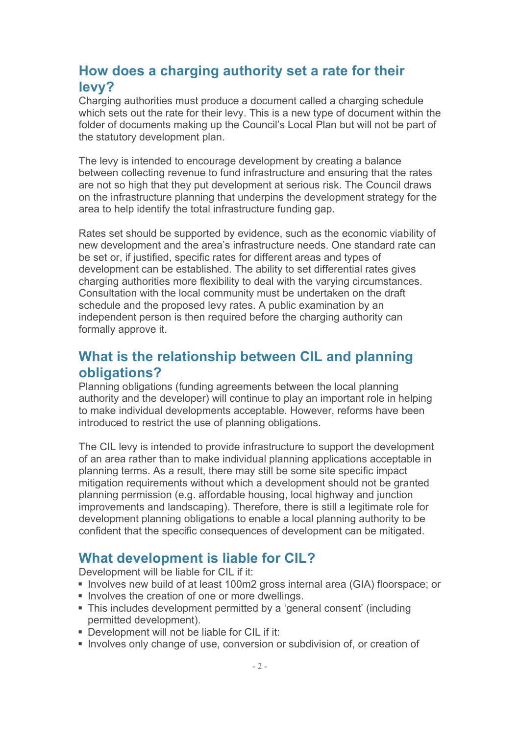# **How does a charging authority set a rate for their levy?**

Charging authorities must produce a document called a charging schedule which sets out the rate for their levy. This is a new type of document within the folder of documents making up the Council's Local Plan but will not be part of the statutory development plan.

The levy is intended to encourage development by creating a balance between collecting revenue to fund infrastructure and ensuring that the rates are not so high that they put development at serious risk. The Council draws on the infrastructure planning that underpins the development strategy for the area to help identify the total infrastructure funding gap.

Rates set should be supported by evidence, such as the economic viability of new development and the area's infrastructure needs. One standard rate can be set or, if justified, specific rates for different areas and types of development can be established. The ability to set differential rates gives charging authorities more flexibility to deal with the varying circumstances. Consultation with the local community must be undertaken on the draft schedule and the proposed levy rates. A public examination by an independent person is then required before the charging authority can formally approve it.

## **What is the relationship between CIL and planning obligations?**

Planning obligations (funding agreements between the local planning authority and the developer) will continue to play an important role in helping to make individual developments acceptable. However, reforms have been introduced to restrict the use of planning obligations.

The CIL levy is intended to provide infrastructure to support the development of an area rather than to make individual planning applications acceptable in planning terms. As a result, there may still be some site specific impact mitigation requirements without which a development should not be granted planning permission (e.g. affordable housing, local highway and junction improvements and landscaping). Therefore, there is still a legitimate role for development planning obligations to enable a local planning authority to be confident that the specific consequences of development can be mitigated.

## **What development is liable for CIL?**

Development will be liable for CIL if it:

- ! Involves new build of at least 100m2 gross internal area (GIA) floorspace; or
- **IDE INVOLVES the creation of one or more dwellings.**
- ! This includes development permitted by a 'general consent' (including permitted development).
- ! Development will not be liable for CIL if it:
- ! Involves only change of use, conversion or subdivision of, or creation of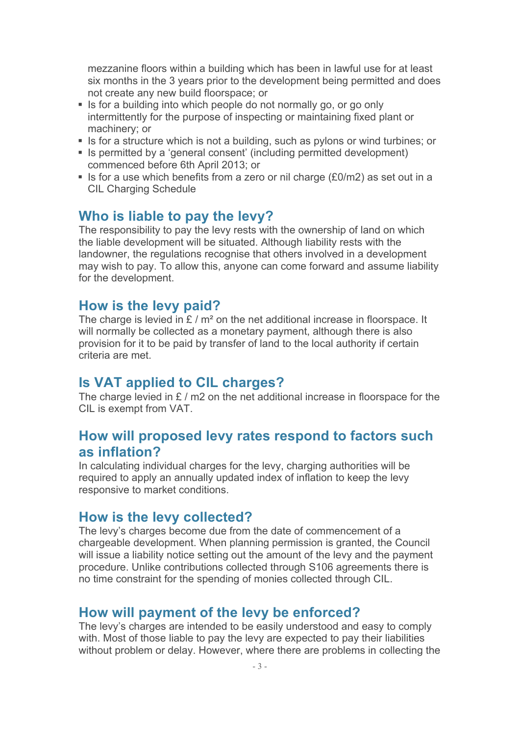mezzanine floors within a building which has been in lawful use for at least six months in the 3 years prior to the development being permitted and does not create any new build floorspace; or

- ! Is for a building into which people do not normally go, or go only intermittently for the purpose of inspecting or maintaining fixed plant or machinery; or
- ! Is for a structure which is not a building, such as pylons or wind turbines; or
- ! Is permitted by a 'general consent' (including permitted development) commenced before 6th April 2013; or
- ! Is for a use which benefits from a zero or nil charge (£0/m2) as set out in a CIL Charging Schedule

#### **Who is liable to pay the levy?**

The responsibility to pay the levy rests with the ownership of land on which the liable development will be situated. Although liability rests with the landowner, the regulations recognise that others involved in a development may wish to pay. To allow this, anyone can come forward and assume liability for the development.

#### **How is the levy paid?**

The charge is levied in  $E/m^2$  on the net additional increase in floorspace. It will normally be collected as a monetary payment, although there is also provision for it to be paid by transfer of land to the local authority if certain criteria are met.

### **Is VAT applied to CIL charges?**

The charge levied in £ / m2 on the net additional increase in floorspace for the CIL is exempt from VAT.

### **How will proposed levy rates respond to factors such as inflation?**

In calculating individual charges for the levy, charging authorities will be required to apply an annually updated index of inflation to keep the levy responsive to market conditions.

#### **How is the levy collected?**

The levy's charges become due from the date of commencement of a chargeable development. When planning permission is granted, the Council will issue a liability notice setting out the amount of the levy and the payment procedure. Unlike contributions collected through S106 agreements there is no time constraint for the spending of monies collected through CIL.

#### **How will payment of the levy be enforced?**

The levy's charges are intended to be easily understood and easy to comply with. Most of those liable to pay the levy are expected to pay their liabilities without problem or delay. However, where there are problems in collecting the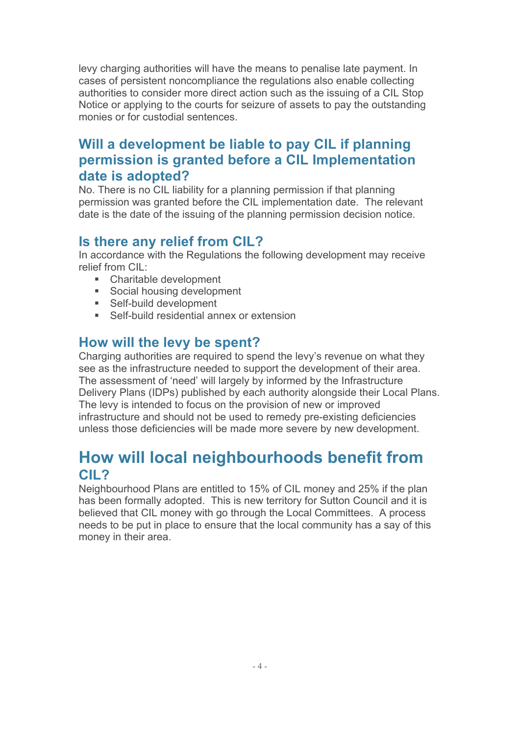levy charging authorities will have the means to penalise late payment. In cases of persistent noncompliance the regulations also enable collecting authorities to consider more direct action such as the issuing of a CIL Stop Notice or applying to the courts for seizure of assets to pay the outstanding monies or for custodial sentences.

# **Will a development be liable to pay CIL if planning permission is granted before a CIL Implementation date is adopted?**

No. There is no CIL liability for a planning permission if that planning permission was granted before the CIL implementation date. The relevant date is the date of the issuing of the planning permission decision notice.

## **Is there any relief from CIL?**

In accordance with the Regulations the following development may receive relief from CIL:

- Charitable development
- Social housing development
- **Self-build development**
- ! Self-build residential annex or extension

### **How will the levy be spent?**

Charging authorities are required to spend the levy's revenue on what they see as the infrastructure needed to support the development of their area. The assessment of 'need' will largely by informed by the Infrastructure Delivery Plans (IDPs) published by each authority alongside their Local Plans. The levy is intended to focus on the provision of new or improved infrastructure and should not be used to remedy pre-existing deficiencies unless those deficiencies will be made more severe by new development.

# **How will local neighbourhoods benefit from CIL?**

Neighbourhood Plans are entitled to 15% of CIL money and 25% if the plan has been formally adopted. This is new territory for Sutton Council and it is believed that CIL money with go through the Local Committees. A process needs to be put in place to ensure that the local community has a say of this money in their area.